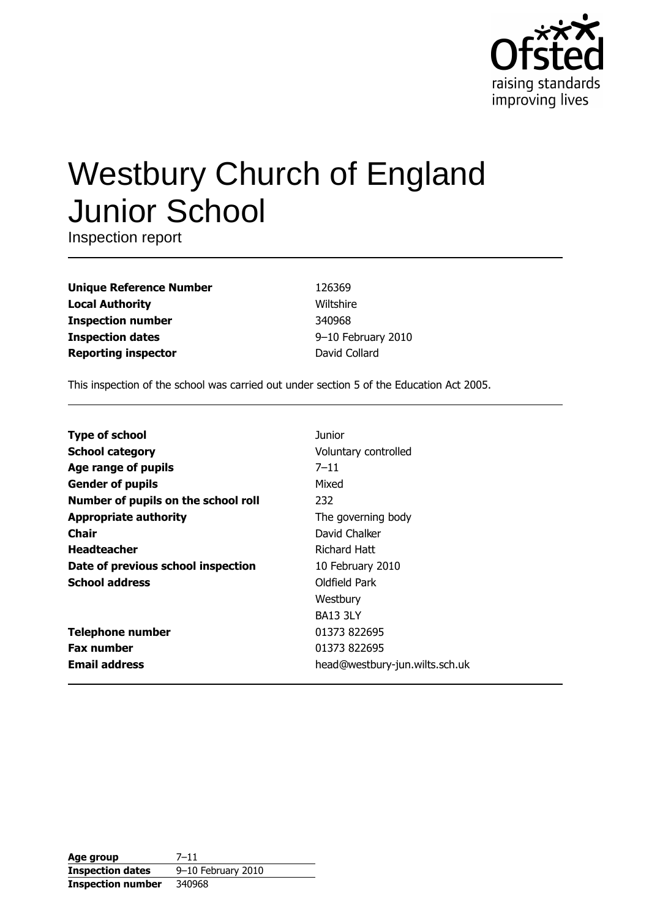

# **Westbury Church of England Junior School**

Inspection report

| <b>Unique Reference Number</b> |
|--------------------------------|
| <b>Local Authority</b>         |
| <b>Inspection number</b>       |
| <b>Inspection dates</b>        |
| <b>Reporting inspector</b>     |

126369 Wiltshire 340968 9-10 February 2010 David Collard

This inspection of the school was carried out under section 5 of the Education Act 2005.

| <b>Type of school</b>               | Junior                         |
|-------------------------------------|--------------------------------|
| <b>School category</b>              | Voluntary controlled           |
| Age range of pupils                 | $7 - 11$                       |
| <b>Gender of pupils</b>             | Mixed                          |
| Number of pupils on the school roll | 232                            |
| <b>Appropriate authority</b>        | The governing body             |
| Chair                               | David Chalker                  |
| <b>Headteacher</b>                  | Richard Hatt                   |
| Date of previous school inspection  | 10 February 2010               |
| <b>School address</b>               | Oldfield Park                  |
|                                     | Westbury                       |
|                                     | <b>BA13 3LY</b>                |
| <b>Telephone number</b>             | 01373 822695                   |
| <b>Fax number</b>                   | 01373 822695                   |
| <b>Email address</b>                | head@westbury-jun.wilts.sch.uk |

| Age group                | $7 - 11$           |
|--------------------------|--------------------|
| <b>Inspection dates</b>  | 9-10 February 2010 |
| <b>Inspection number</b> | 340968             |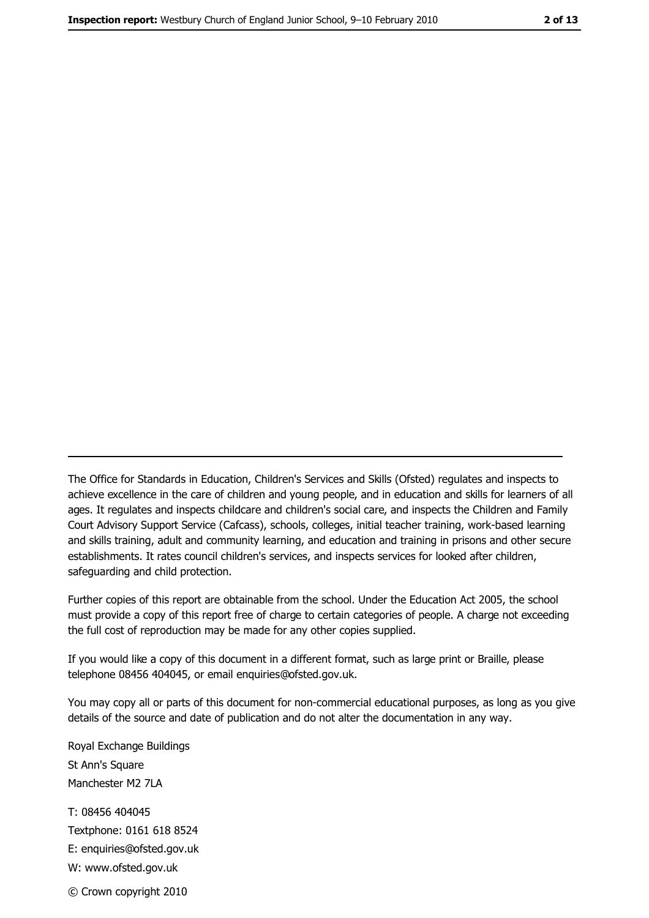The Office for Standards in Education, Children's Services and Skills (Ofsted) regulates and inspects to achieve excellence in the care of children and young people, and in education and skills for learners of all ages. It regulates and inspects childcare and children's social care, and inspects the Children and Family Court Advisory Support Service (Cafcass), schools, colleges, initial teacher training, work-based learning and skills training, adult and community learning, and education and training in prisons and other secure establishments. It rates council children's services, and inspects services for looked after children, safequarding and child protection.

Further copies of this report are obtainable from the school. Under the Education Act 2005, the school must provide a copy of this report free of charge to certain categories of people. A charge not exceeding the full cost of reproduction may be made for any other copies supplied.

If you would like a copy of this document in a different format, such as large print or Braille, please telephone 08456 404045, or email enquiries@ofsted.gov.uk.

You may copy all or parts of this document for non-commercial educational purposes, as long as you give details of the source and date of publication and do not alter the documentation in any way.

Royal Exchange Buildings St Ann's Square Manchester M2 7LA T: 08456 404045 Textphone: 0161 618 8524 E: enquiries@ofsted.gov.uk W: www.ofsted.gov.uk © Crown copyright 2010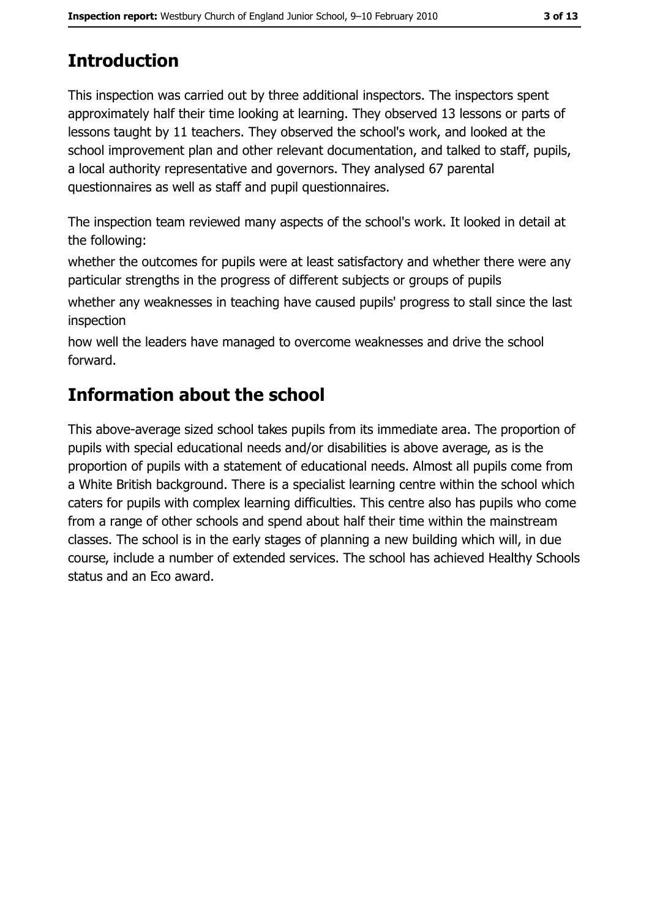# **Introduction**

This inspection was carried out by three additional inspectors. The inspectors spent approximately half their time looking at learning. They observed 13 lessons or parts of lessons taught by 11 teachers. They observed the school's work, and looked at the school improvement plan and other relevant documentation, and talked to staff, pupils, a local authority representative and governors. They analysed 67 parental questionnaires as well as staff and pupil questionnaires.

The inspection team reviewed many aspects of the school's work. It looked in detail at the following:

whether the outcomes for pupils were at least satisfactory and whether there were any particular strengths in the progress of different subjects or groups of pupils

whether any weaknesses in teaching have caused pupils' progress to stall since the last inspection

how well the leaders have managed to overcome weaknesses and drive the school forward.

# Information about the school

This above-average sized school takes pupils from its immediate area. The proportion of pupils with special educational needs and/or disabilities is above average, as is the proportion of pupils with a statement of educational needs. Almost all pupils come from a White British background. There is a specialist learning centre within the school which caters for pupils with complex learning difficulties. This centre also has pupils who come from a range of other schools and spend about half their time within the mainstream classes. The school is in the early stages of planning a new building which will, in due course, include a number of extended services. The school has achieved Healthy Schools status and an Eco award.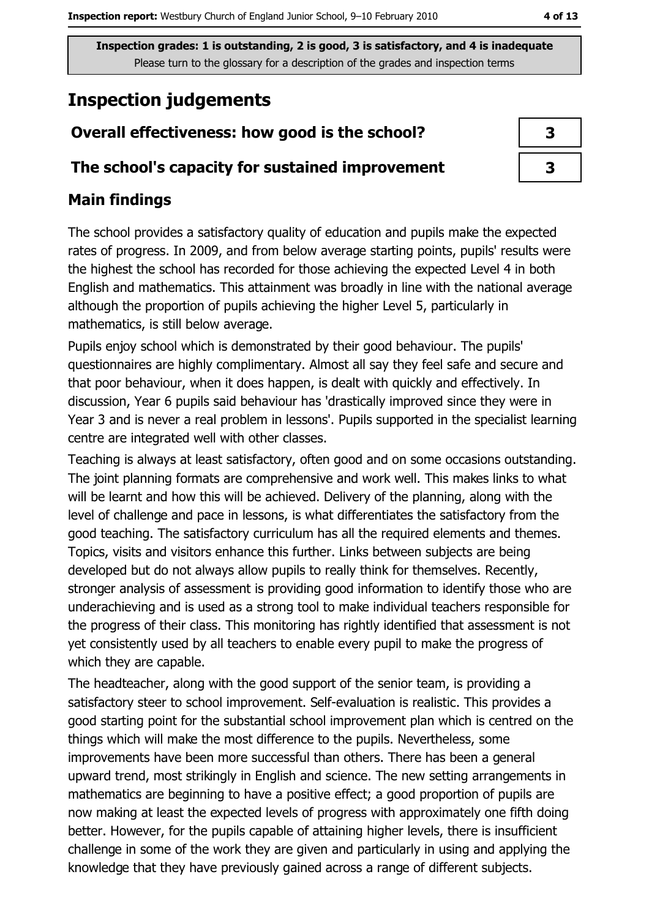# **Inspection judgements**

## Overall effectiveness: how good is the school?

#### The school's capacity for sustained improvement

### **Main findings**

The school provides a satisfactory quality of education and pupils make the expected rates of progress. In 2009, and from below average starting points, pupils' results were the highest the school has recorded for those achieving the expected Level 4 in both English and mathematics. This attainment was broadly in line with the national average although the proportion of pupils achieving the higher Level 5, particularly in mathematics, is still below average.

Pupils enjoy school which is demonstrated by their good behaviour. The pupils' questionnaires are highly complimentary. Almost all say they feel safe and secure and that poor behaviour, when it does happen, is dealt with quickly and effectively. In discussion, Year 6 pupils said behaviour has 'drastically improved since they were in Year 3 and is never a real problem in lessons'. Pupils supported in the specialist learning centre are integrated well with other classes.

Teaching is always at least satisfactory, often good and on some occasions outstanding. The joint planning formats are comprehensive and work well. This makes links to what will be learnt and how this will be achieved. Delivery of the planning, along with the level of challenge and pace in lessons, is what differentiates the satisfactory from the good teaching. The satisfactory curriculum has all the required elements and themes. Topics, visits and visitors enhance this further. Links between subjects are being developed but do not always allow pupils to really think for themselves. Recently, stronger analysis of assessment is providing good information to identify those who are underachieving and is used as a strong tool to make individual teachers responsible for the progress of their class. This monitoring has rightly identified that assessment is not yet consistently used by all teachers to enable every pupil to make the progress of which they are capable.

The headteacher, along with the good support of the senior team, is providing a satisfactory steer to school improvement. Self-evaluation is realistic. This provides a good starting point for the substantial school improvement plan which is centred on the things which will make the most difference to the pupils. Nevertheless, some improvements have been more successful than others. There has been a general upward trend, most strikingly in English and science. The new setting arrangements in mathematics are beginning to have a positive effect; a good proportion of pupils are now making at least the expected levels of progress with approximately one fifth doing better. However, for the pupils capable of attaining higher levels, there is insufficient challenge in some of the work they are given and particularly in using and applying the knowledge that they have previously gained across a range of different subjects.

| 3 |  |
|---|--|

 $\overline{\mathbf{3}}$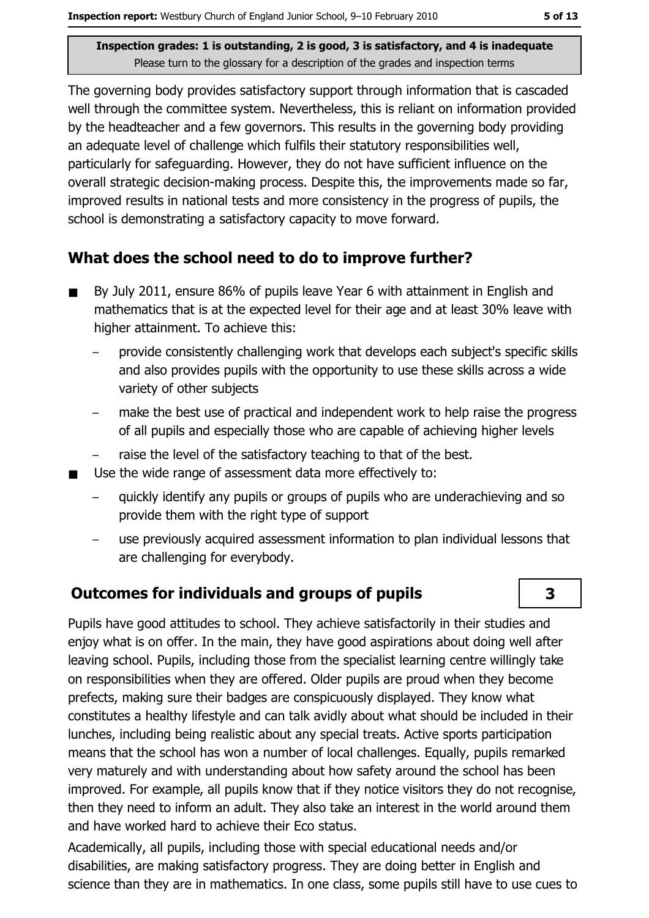The governing body provides satisfactory support through information that is cascaded well through the committee system. Nevertheless, this is reliant on information provided by the headteacher and a few governors. This results in the governing body providing an adequate level of challenge which fulfils their statutory responsibilities well, particularly for safeguarding. However, they do not have sufficient influence on the overall strategic decision-making process. Despite this, the improvements made so far, improved results in national tests and more consistency in the progress of pupils, the school is demonstrating a satisfactory capacity to move forward.

## What does the school need to do to improve further?

- By July 2011, ensure 86% of pupils leave Year 6 with attainment in English and  $\blacksquare$ mathematics that is at the expected level for their age and at least 30% leave with higher attainment. To achieve this:
	- provide consistently challenging work that develops each subject's specific skills and also provides pupils with the opportunity to use these skills across a wide variety of other subjects
	- make the best use of practical and independent work to help raise the progress of all pupils and especially those who are capable of achieving higher levels
	- raise the level of the satisfactory teaching to that of the best.
- Use the wide range of assessment data more effectively to:  $\blacksquare$ 
	- quickly identify any pupils or groups of pupils who are underachieving and so provide them with the right type of support
	- use previously acquired assessment information to plan individual lessons that are challenging for everybody.

## **Outcomes for individuals and groups of pupils**

Pupils have good attitudes to school. They achieve satisfactorily in their studies and eniov what is on offer. In the main, they have good aspirations about doing well after leaving school. Pupils, including those from the specialist learning centre willingly take on responsibilities when they are offered. Older pupils are proud when they become prefects, making sure their badges are conspicuously displayed. They know what constitutes a healthy lifestyle and can talk avidly about what should be included in their lunches, including being realistic about any special treats. Active sports participation means that the school has won a number of local challenges. Equally, pupils remarked very maturely and with understanding about how safety around the school has been improved. For example, all pupils know that if they notice visitors they do not recognise, then they need to inform an adult. They also take an interest in the world around them and have worked hard to achieve their Eco status.

Academically, all pupils, including those with special educational needs and/or disabilities, are making satisfactory progress. They are doing better in English and science than they are in mathematics. In one class, some pupils still have to use cues to

 $\overline{\mathbf{3}}$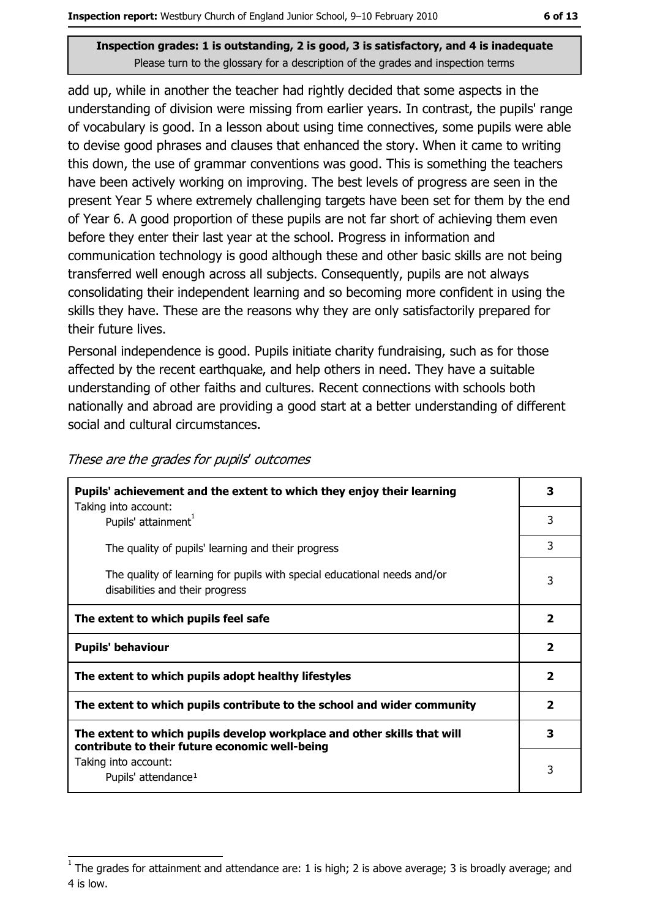add up, while in another the teacher had rightly decided that some aspects in the understanding of division were missing from earlier years. In contrast, the pupils' range of vocabulary is good. In a lesson about using time connectives, some pupils were able to devise good phrases and clauses that enhanced the story. When it came to writing this down, the use of grammar conventions was good. This is something the teachers have been actively working on improving. The best levels of progress are seen in the present Year 5 where extremely challenging targets have been set for them by the end of Year 6. A good proportion of these pupils are not far short of achieving them even before they enter their last year at the school. Progress in information and communication technology is good although these and other basic skills are not being transferred well enough across all subjects. Consequently, pupils are not always consolidating their independent learning and so becoming more confident in using the skills they have. These are the reasons why they are only satisfactorily prepared for their future lives.

Personal independence is good. Pupils initiate charity fundraising, such as for those affected by the recent earthquake, and help others in need. They have a suitable understanding of other faiths and cultures. Recent connections with schools both nationally and abroad are providing a good start at a better understanding of different social and cultural circumstances.

| Pupils' achievement and the extent to which they enjoy their learning                                                     |                         |  |
|---------------------------------------------------------------------------------------------------------------------------|-------------------------|--|
| Taking into account:<br>Pupils' attainment <sup>1</sup>                                                                   | 3                       |  |
| The quality of pupils' learning and their progress                                                                        | 3                       |  |
| The quality of learning for pupils with special educational needs and/or<br>disabilities and their progress               | 3                       |  |
| The extent to which pupils feel safe                                                                                      | 2                       |  |
| <b>Pupils' behaviour</b>                                                                                                  | $\mathbf{2}$            |  |
| The extent to which pupils adopt healthy lifestyles                                                                       | 2                       |  |
| The extent to which pupils contribute to the school and wider community                                                   | $\overline{\mathbf{2}}$ |  |
| The extent to which pupils develop workplace and other skills that will<br>contribute to their future economic well-being | 3                       |  |
| Taking into account:<br>Pupils' attendance <sup>1</sup>                                                                   | 3                       |  |

#### These are the grades for pupils' outcomes

The grades for attainment and attendance are: 1 is high; 2 is above average; 3 is broadly average; and 4 is low.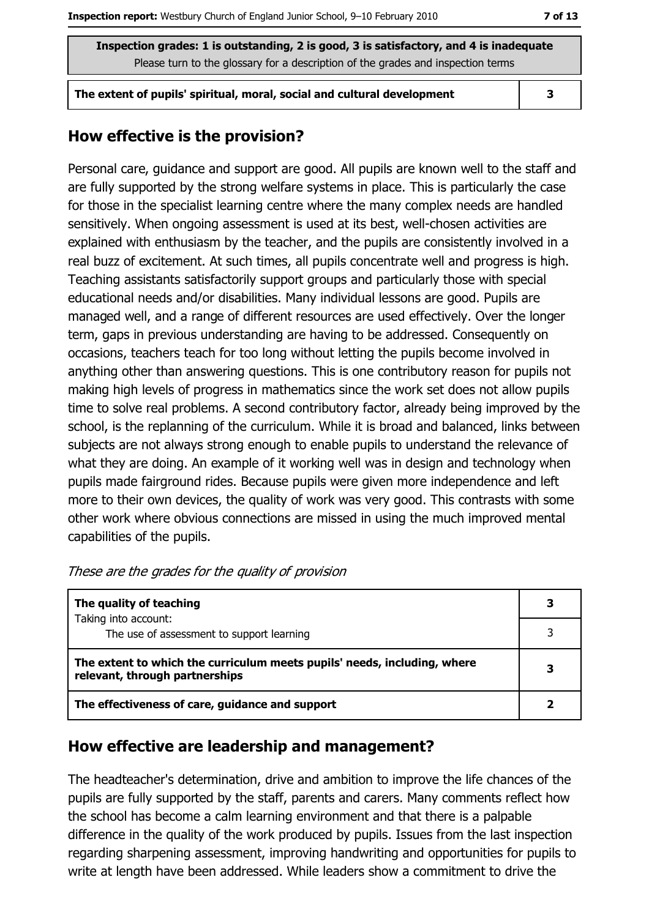The extent of pupils' spiritual, moral, social and cultural development

 $\overline{\mathbf{3}}$ 

#### How effective is the provision?

Personal care, quidance and support are good. All pupils are known well to the staff and are fully supported by the strong welfare systems in place. This is particularly the case for those in the specialist learning centre where the many complex needs are handled sensitively. When ongoing assessment is used at its best, well-chosen activities are explained with enthusiasm by the teacher, and the pupils are consistently involved in a real buzz of excitement. At such times, all pupils concentrate well and progress is high. Teaching assistants satisfactorily support groups and particularly those with special educational needs and/or disabilities. Many individual lessons are good. Pupils are managed well, and a range of different resources are used effectively. Over the longer term, gaps in previous understanding are having to be addressed. Consequently on occasions, teachers teach for too long without letting the pupils become involved in anything other than answering questions. This is one contributory reason for pupils not making high levels of progress in mathematics since the work set does not allow pupils time to solve real problems. A second contributory factor, already being improved by the school, is the replanning of the curriculum. While it is broad and balanced, links between subjects are not always strong enough to enable pupils to understand the relevance of what they are doing. An example of it working well was in design and technology when pupils made fairground rides. Because pupils were given more independence and left more to their own devices, the quality of work was very good. This contrasts with some other work where obvious connections are missed in using the much improved mental capabilities of the pupils.

| The quality of teaching                                                                                    |  |
|------------------------------------------------------------------------------------------------------------|--|
| Taking into account:<br>The use of assessment to support learning                                          |  |
| The extent to which the curriculum meets pupils' needs, including, where<br>relevant, through partnerships |  |
| The effectiveness of care, guidance and support                                                            |  |

| These are the grades for the quality of provision |  |  |  |  |  |  |  |
|---------------------------------------------------|--|--|--|--|--|--|--|
|---------------------------------------------------|--|--|--|--|--|--|--|

#### How effective are leadership and management?

The headteacher's determination, drive and ambition to improve the life chances of the pupils are fully supported by the staff, parents and carers. Many comments reflect how the school has become a calm learning environment and that there is a palpable difference in the quality of the work produced by pupils. Issues from the last inspection regarding sharpening assessment, improving handwriting and opportunities for pupils to write at length have been addressed. While leaders show a commitment to drive the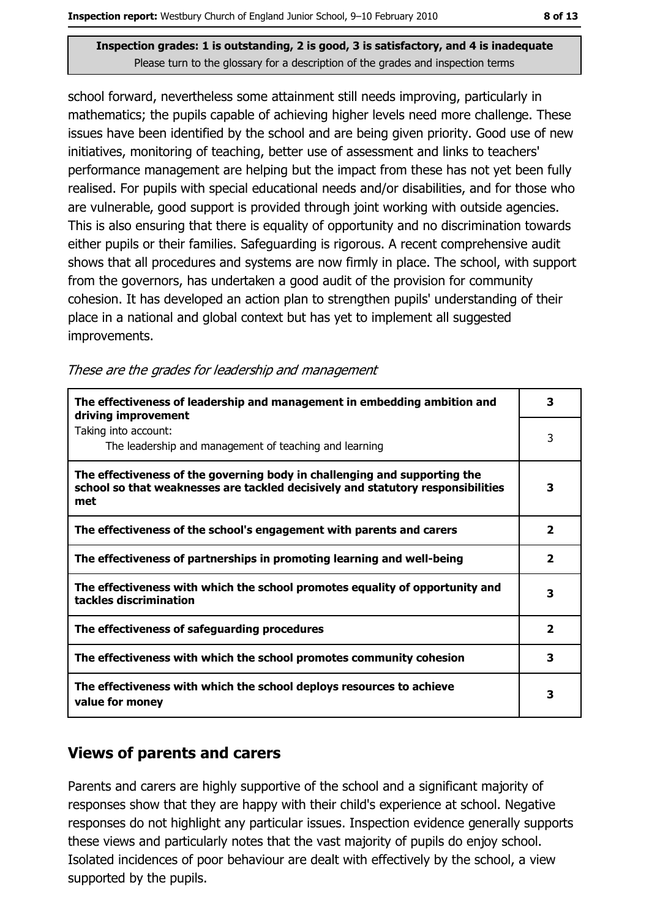school forward, nevertheless some attainment still needs improving, particularly in mathematics; the pupils capable of achieving higher levels need more challenge. These issues have been identified by the school and are being given priority. Good use of new initiatives, monitoring of teaching, better use of assessment and links to teachers' performance management are helping but the impact from these has not yet been fully realised. For pupils with special educational needs and/or disabilities, and for those who are vulnerable, good support is provided through joint working with outside agencies. This is also ensuring that there is equality of opportunity and no discrimination towards either pupils or their families. Safeguarding is rigorous. A recent comprehensive audit shows that all procedures and systems are now firmly in place. The school, with support from the governors, has undertaken a good audit of the provision for community cohesion. It has developed an action plan to strengthen pupils' understanding of their place in a national and global context but has yet to implement all suggested improvements.

These are the grades for leadership and management

| The effectiveness of leadership and management in embedding ambition and<br>driving improvement                                                                     | 3                       |
|---------------------------------------------------------------------------------------------------------------------------------------------------------------------|-------------------------|
| Taking into account:<br>The leadership and management of teaching and learning                                                                                      | 3                       |
| The effectiveness of the governing body in challenging and supporting the<br>school so that weaknesses are tackled decisively and statutory responsibilities<br>met | 3                       |
| The effectiveness of the school's engagement with parents and carers                                                                                                | $\overline{\mathbf{2}}$ |
| The effectiveness of partnerships in promoting learning and well-being                                                                                              | $\overline{\mathbf{2}}$ |
| The effectiveness with which the school promotes equality of opportunity and<br>tackles discrimination                                                              | 3                       |
| The effectiveness of safeguarding procedures                                                                                                                        | $\overline{\mathbf{2}}$ |
| The effectiveness with which the school promotes community cohesion                                                                                                 | 3                       |
| The effectiveness with which the school deploys resources to achieve<br>value for money                                                                             | 3                       |

## **Views of parents and carers**

Parents and carers are highly supportive of the school and a significant majority of responses show that they are happy with their child's experience at school. Negative responses do not highlight any particular issues. Inspection evidence generally supports these views and particularly notes that the vast majority of pupils do enjoy school. Isolated incidences of poor behaviour are dealt with effectively by the school, a view supported by the pupils.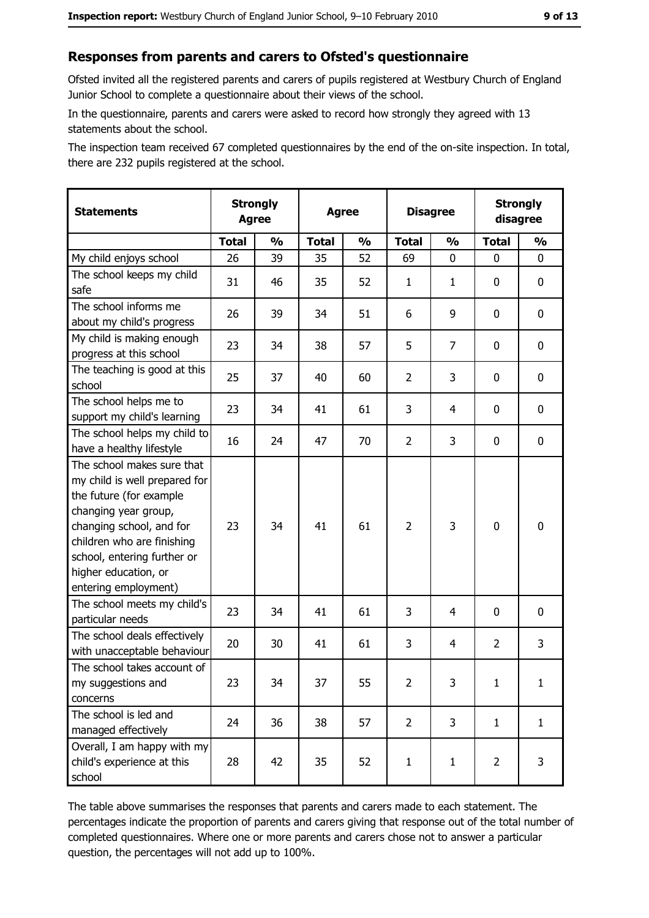#### Responses from parents and carers to Ofsted's questionnaire

Ofsted invited all the registered parents and carers of pupils registered at Westbury Church of England Junior School to complete a questionnaire about their views of the school.

In the questionnaire, parents and carers were asked to record how strongly they agreed with 13 statements about the school.

The inspection team received 67 completed questionnaires by the end of the on-site inspection. In total, there are 232 pupils registered at the school.

| <b>Statements</b>                                                                                                                                                                                                                                       | <b>Strongly</b><br><b>Agree</b> |               | <b>Agree</b> |               | <b>Disagree</b> |               | <b>Strongly</b><br>disagree |               |
|---------------------------------------------------------------------------------------------------------------------------------------------------------------------------------------------------------------------------------------------------------|---------------------------------|---------------|--------------|---------------|-----------------|---------------|-----------------------------|---------------|
|                                                                                                                                                                                                                                                         | <b>Total</b>                    | $\frac{0}{0}$ | <b>Total</b> | $\frac{1}{2}$ | <b>Total</b>    | $\frac{1}{2}$ | <b>Total</b>                | $\frac{1}{2}$ |
| My child enjoys school                                                                                                                                                                                                                                  | 26                              | 39            | 35           | 52            | 69              | 0             | $\Omega$                    | 0             |
| The school keeps my child<br>safe                                                                                                                                                                                                                       | 31                              | 46            | 35           | 52            | $\mathbf{1}$    | 1             | $\mathbf{0}$                | 0             |
| The school informs me<br>about my child's progress                                                                                                                                                                                                      | 26                              | 39            | 34           | 51            | 6               | 9             | $\mathbf{0}$                | 0             |
| My child is making enough<br>progress at this school                                                                                                                                                                                                    | 23                              | 34            | 38           | 57            | 5               | 7             | 0                           | 0             |
| The teaching is good at this<br>school                                                                                                                                                                                                                  | 25                              | 37            | 40           | 60            | $\overline{2}$  | 3             | 0                           | 0             |
| The school helps me to<br>support my child's learning                                                                                                                                                                                                   | 23                              | 34            | 41           | 61            | 3               | 4             | 0                           | 0             |
| The school helps my child to<br>have a healthy lifestyle                                                                                                                                                                                                | 16                              | 24            | 47           | 70            | $\overline{2}$  | 3             | 0                           | 0             |
| The school makes sure that<br>my child is well prepared for<br>the future (for example<br>changing year group,<br>changing school, and for<br>children who are finishing<br>school, entering further or<br>higher education, or<br>entering employment) | 23                              | 34            | 41           | 61            | $\overline{2}$  | 3             | $\mathbf 0$                 | 0             |
| The school meets my child's<br>particular needs                                                                                                                                                                                                         | 23                              | 34            | 41           | 61            | 3               | 4             | 0                           | 0             |
| The school deals effectively<br>with unacceptable behaviour                                                                                                                                                                                             | 20                              | 30            | 41           | 61            | 3               | 4             | $\overline{2}$              | 3             |
| The school takes account of<br>my suggestions and<br>concerns                                                                                                                                                                                           | 23                              | 34            | 37           | 55            | $\overline{2}$  | 3             | $\mathbf{1}$                | $\mathbf{1}$  |
| The school is led and<br>managed effectively                                                                                                                                                                                                            | 24                              | 36            | 38           | 57            | $\overline{2}$  | 3             | $\mathbf{1}$                | $\mathbf{1}$  |
| Overall, I am happy with my<br>child's experience at this<br>school                                                                                                                                                                                     | 28                              | 42            | 35           | 52            | $\mathbf{1}$    | $\mathbf{1}$  | $\overline{2}$              | 3             |

The table above summarises the responses that parents and carers made to each statement. The percentages indicate the proportion of parents and carers giving that response out of the total number of completed questionnaires. Where one or more parents and carers chose not to answer a particular question, the percentages will not add up to 100%.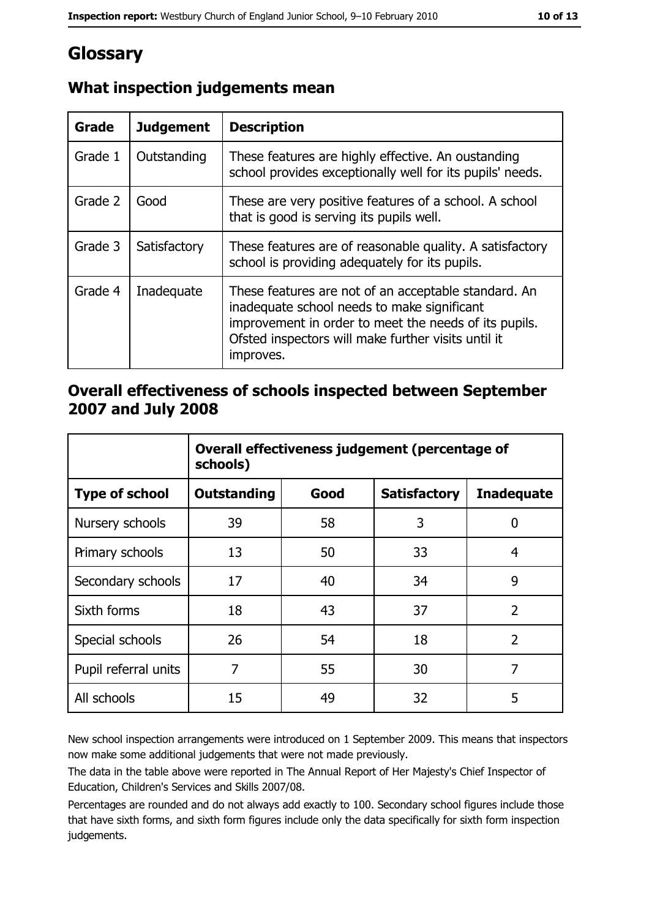# Glossary

| Grade   | <b>Judgement</b> | <b>Description</b>                                                                                                                                                                                                               |
|---------|------------------|----------------------------------------------------------------------------------------------------------------------------------------------------------------------------------------------------------------------------------|
| Grade 1 | Outstanding      | These features are highly effective. An oustanding<br>school provides exceptionally well for its pupils' needs.                                                                                                                  |
| Grade 2 | Good             | These are very positive features of a school. A school<br>that is good is serving its pupils well.                                                                                                                               |
| Grade 3 | Satisfactory     | These features are of reasonable quality. A satisfactory<br>school is providing adequately for its pupils.                                                                                                                       |
| Grade 4 | Inadequate       | These features are not of an acceptable standard. An<br>inadequate school needs to make significant<br>improvement in order to meet the needs of its pupils.<br>Ofsted inspectors will make further visits until it<br>improves. |

## What inspection judgements mean

### Overall effectiveness of schools inspected between September 2007 and July 2008

|                       | Overall effectiveness judgement (percentage of<br>schools) |      |                     |                   |
|-----------------------|------------------------------------------------------------|------|---------------------|-------------------|
| <b>Type of school</b> | <b>Outstanding</b>                                         | Good | <b>Satisfactory</b> | <b>Inadequate</b> |
| Nursery schools       | 39                                                         | 58   | 3                   | 0                 |
| Primary schools       | 13                                                         | 50   | 33                  | 4                 |
| Secondary schools     | 17                                                         | 40   | 34                  | 9                 |
| Sixth forms           | 18                                                         | 43   | 37                  | $\overline{2}$    |
| Special schools       | 26                                                         | 54   | 18                  | $\overline{2}$    |
| Pupil referral units  | 7                                                          | 55   | 30                  | 7                 |
| All schools           | 15                                                         | 49   | 32                  | 5                 |

New school inspection arrangements were introduced on 1 September 2009. This means that inspectors now make some additional judgements that were not made previously.

The data in the table above were reported in The Annual Report of Her Majesty's Chief Inspector of Education, Children's Services and Skills 2007/08.

Percentages are rounded and do not always add exactly to 100. Secondary school figures include those that have sixth forms, and sixth form figures include only the data specifically for sixth form inspection judgements.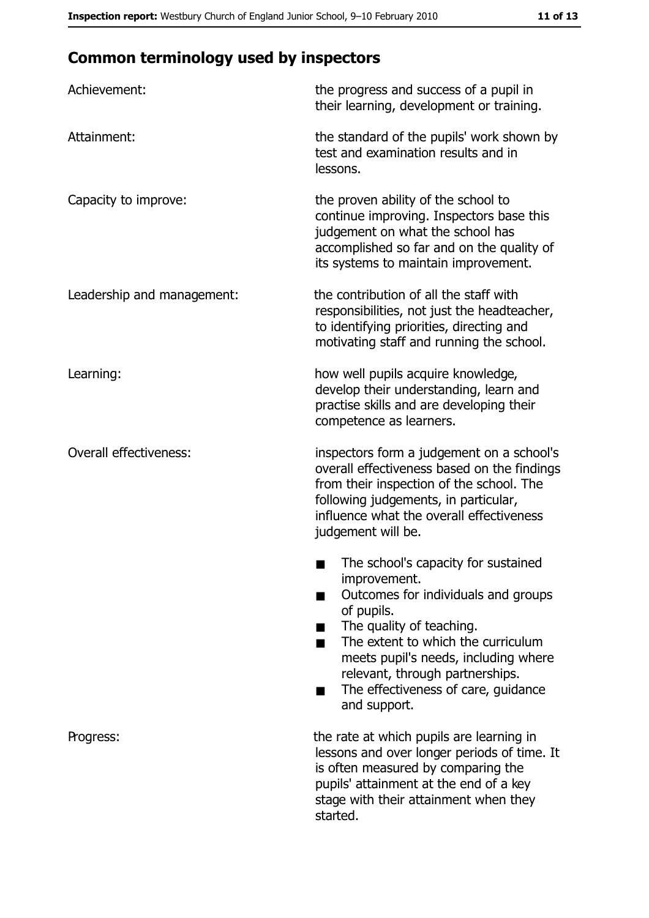# **Common terminology used by inspectors**

| Achievement:                  | the progress and success of a pupil in<br>their learning, development or training.                                                                                                                                                                                                                           |
|-------------------------------|--------------------------------------------------------------------------------------------------------------------------------------------------------------------------------------------------------------------------------------------------------------------------------------------------------------|
| Attainment:                   | the standard of the pupils' work shown by<br>test and examination results and in<br>lessons.                                                                                                                                                                                                                 |
| Capacity to improve:          | the proven ability of the school to<br>continue improving. Inspectors base this<br>judgement on what the school has<br>accomplished so far and on the quality of<br>its systems to maintain improvement.                                                                                                     |
| Leadership and management:    | the contribution of all the staff with<br>responsibilities, not just the headteacher,<br>to identifying priorities, directing and<br>motivating staff and running the school.                                                                                                                                |
| Learning:                     | how well pupils acquire knowledge,<br>develop their understanding, learn and<br>practise skills and are developing their<br>competence as learners.                                                                                                                                                          |
| <b>Overall effectiveness:</b> | inspectors form a judgement on a school's<br>overall effectiveness based on the findings<br>from their inspection of the school. The<br>following judgements, in particular,<br>influence what the overall effectiveness<br>judgement will be.                                                               |
|                               | The school's capacity for sustained<br>improvement.<br>Outcomes for individuals and groups<br>of pupils.<br>The quality of teaching.<br>The extent to which the curriculum<br>meets pupil's needs, including where<br>relevant, through partnerships.<br>The effectiveness of care, guidance<br>and support. |
| Progress:                     | the rate at which pupils are learning in<br>lessons and over longer periods of time. It<br>is often measured by comparing the<br>pupils' attainment at the end of a key<br>stage with their attainment when they<br>started.                                                                                 |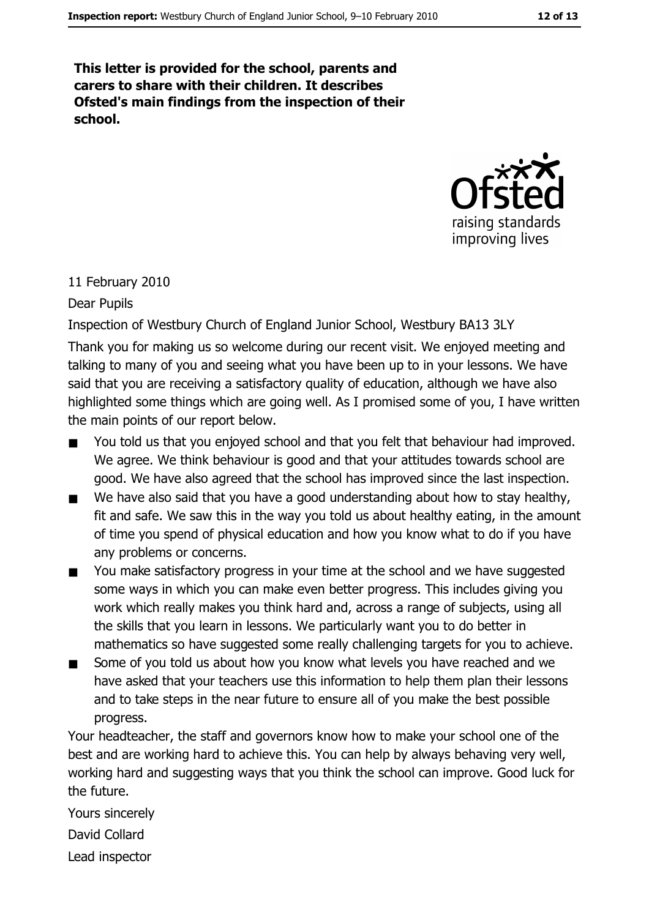This letter is provided for the school, parents and carers to share with their children. It describes Ofsted's main findings from the inspection of their school.



#### 11 February 2010

#### Dear Pupils

Inspection of Westbury Church of England Junior School, Westbury BA13 3LY

Thank you for making us so welcome during our recent visit. We enjoyed meeting and talking to many of you and seeing what you have been up to in your lessons. We have said that you are receiving a satisfactory quality of education, although we have also highlighted some things which are going well. As I promised some of you, I have written the main points of our report below.

- You told us that you enjoyed school and that you felt that behaviour had improved.  $\blacksquare$ We agree. We think behaviour is good and that your attitudes towards school are good. We have also agreed that the school has improved since the last inspection.
- We have also said that you have a good understanding about how to stay healthy,  $\blacksquare$ fit and safe. We saw this in the way you told us about healthy eating, in the amount of time you spend of physical education and how you know what to do if you have any problems or concerns.
- You make satisfactory progress in your time at the school and we have suggested  $\blacksquare$ some ways in which you can make even better progress. This includes giving you work which really makes you think hard and, across a range of subjects, using all the skills that you learn in lessons. We particularly want you to do better in mathematics so have suggested some really challenging targets for you to achieve.
- Some of you told us about how you know what levels you have reached and we  $\blacksquare$ have asked that your teachers use this information to help them plan their lessons and to take steps in the near future to ensure all of you make the best possible progress.

Your headteacher, the staff and governors know how to make your school one of the best and are working hard to achieve this. You can help by always behaving very well, working hard and suggesting ways that you think the school can improve. Good luck for the future.

Yours sincerely David Collard Lead inspector